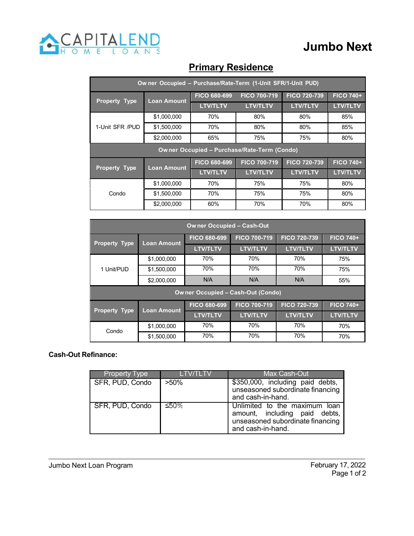

## **Jumbo Next**

| Ow ner Occupied - Purchase/Rate-Term (1-Unit SFR/1-Unit PUD) |                    |                     |                     |                     |                  |  |
|--------------------------------------------------------------|--------------------|---------------------|---------------------|---------------------|------------------|--|
| <b>Property Type</b>                                         | <b>Loan Amount</b> | <b>FICO 680-699</b> | <b>FICO 700-719</b> | <b>FICO 720-739</b> | <b>FICO 740+</b> |  |
|                                                              |                    | <b>LTV/TLTV</b>     | <b>LTV/TLTV</b>     | <b>LTV/TLTV</b>     | <b>LTV/TLTV</b>  |  |
| 1-Unit SFR /PUD                                              | \$1,000,000        | 70%                 | 80%                 | 80%                 | 85%              |  |
|                                                              | \$1,500,000        | 70%                 | 80%                 | 80%                 | 85%              |  |
|                                                              | \$2,000,000        | 65%                 | 75%                 | 75%                 | 80%              |  |
| Owner Occupied - Purchase/Rate-Term (Condo)                  |                    |                     |                     |                     |                  |  |
| <b>Property Type</b>                                         | <b>Loan Amount</b> | <b>FICO 680-699</b> | <b>FICO 700-719</b> | <b>FICO 720-739</b> | <b>FICO 740+</b> |  |
|                                                              |                    | <b>LTV/TLTV</b>     | <b>LTV/TLTV</b>     | <b>LTV/TLTV</b>     | <b>LTV/TLTV</b>  |  |
| Condo                                                        | \$1,000,000        | 70%                 | 75%                 | 75%                 | 80%              |  |
|                                                              | \$1,500,000        | 70%                 | 75%                 | 75%                 | 80%              |  |
|                                                              | \$2,000,000        | 60%                 | 70%                 | 70%                 | 80%              |  |

### **Primary Residence**

| Owner Occupied - Cash-Out                |                    |                     |                     |                     |                  |  |
|------------------------------------------|--------------------|---------------------|---------------------|---------------------|------------------|--|
| <b>Property Type</b>                     | <b>Loan Amount</b> | <b>FICO 680-699</b> | <b>FICO 700-719</b> | <b>FICO 720-739</b> | <b>FICO 740+</b> |  |
|                                          |                    | <b>LTV/TLTV</b>     | <b>LTV/TLTV</b>     | <b>LTV/TLTV</b>     | <b>LTV/TLTV</b>  |  |
| 1 Unit/PUD                               | \$1,000,000        | 70%                 | 70%                 | 70%                 | 75%              |  |
|                                          | \$1,500,000        | 70%                 | 70%                 | 70%                 | 75%              |  |
|                                          | \$2,000,000        | N/A                 | N/A                 | N/A                 | 55%              |  |
| <b>Owner Occupied - Cash-Out (Condo)</b> |                    |                     |                     |                     |                  |  |
| <b>Property Type</b>                     | <b>Loan Amount</b> | FICO 680-699        | <b>FICO 700-719</b> | <b>FICO 720-739</b> | <b>FICO 740+</b> |  |
|                                          |                    | <b>LTV/TLTV</b>     | <b>LTV/TLTV</b>     | <b>LTV/TLTV</b>     | <b>LTV/TLTV</b>  |  |
| Condo                                    | \$1,000,000        | 70%                 | 70%                 | 70%                 | 70%              |  |
|                                          | \$1,500,000        | 70%                 | 70%                 | 70%                 | 70%              |  |

#### **Cash-Out Refinance:**

| <b>Property Type</b> | TETV/TETV | Max Cash-Out                                                                                                            |
|----------------------|-----------|-------------------------------------------------------------------------------------------------------------------------|
| SFR, PUD, Condo      | $>50\%$   | \$350,000, including paid debts,<br>unseasoned subordinate financing<br>and cash-in-hand.                               |
| SFR, PUD, Condo      | ≤50%      | Unlimited to the maximum loan<br>amount, including paid debts,<br>unseasoned subordinate financing<br>and cash-in-hand. |

#### Jumbo Next Loan Program